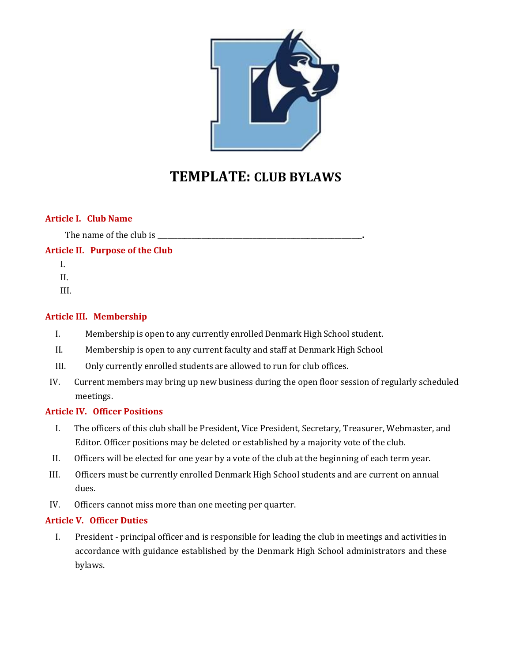

# **TEMPLATE: CLUB BYLAWS**

## **Article I. Club Name**

The name of the club is **we have all the set of the club** is **we have all the set of the club** is *n*  $\frac{1}{2}$ 

**Article II. Purpose of the Club**

- I.
- II.

III.

# **Article III. Membership**

- I. Membership is open to any currently enrolled Denmark High School student.
- II. Membership is open to any current faculty and staff at Denmark High School
- III. Only currently enrolled students are allowed to run for club offices.
- IV. Current members may bring up new business during the open floor session of regularly scheduled meetings.

## **Article IV. Officer Positions**

- I. The officers of this club shall be President, Vice President, Secretary, Treasurer, Webmaster, and Editor. Officer positions may be deleted or established by a majority vote of the club.
- II. Officers will be elected for one year by a vote of the club at the beginning of each term year.
- III. Officers must be currently enrolled Denmark High School students and are current on annual dues.
- IV. Officers cannot miss more than one meeting per quarter.

## **Article V. Officer Duties**

I. President - principal officer and is responsible for leading the club in meetings and activities in accordance with guidance established by the Denmark High School administrators and these bylaws.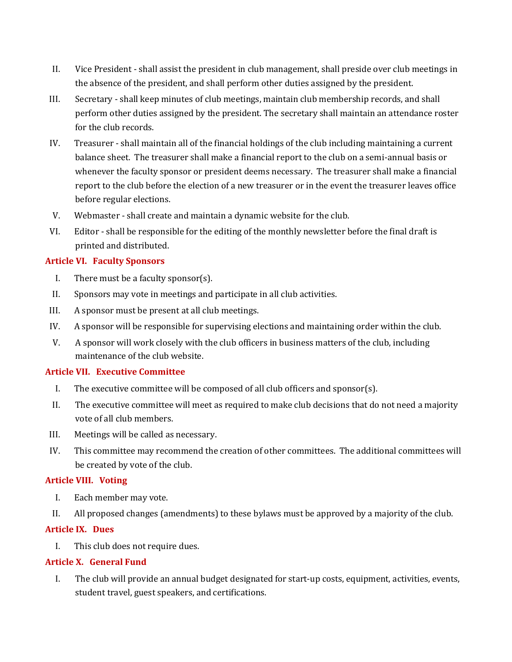- II. Vice President shall assist the president in club management, shall preside over club meetings in the absence of the president, and shall perform other duties assigned by the president.
- III. Secretary shall keep minutes of club meetings, maintain club membership records, and shall perform other duties assigned by the president. The secretary shall maintain an attendance roster for the club records.
- IV. Treasurer shall maintain all of the financial holdings of the club including maintaining a current balance sheet. The treasurer shall make a financial report to the club on a semi-annual basis or whenever the faculty sponsor or president deems necessary. The treasurer shall make a financial report to the club before the election of a new treasurer or in the event the treasurer leaves office before regular elections.
- V. Webmaster shall create and maintain a dynamic website for the club.
- VI. Editor shall be responsible for the editing of the monthly newsletter before the final draft is printed and distributed.

# **Article VI. Faculty Sponsors**

- I. There must be a faculty sponsor(s).
- II. Sponsors may vote in meetings and participate in all club activities.
- III. A sponsor must be present at all club meetings.
- IV. A sponsor will be responsible for supervising elections and maintaining order within the club.
- V. A sponsor will work closely with the club officers in business matters of the club, including maintenance of the club website.

## **Article VII. Executive Committee**

- I. The executive committee will be composed of all club officers and sponsor(s).
- II. The executive committee will meet as required to make club decisions that do not need a majority vote of all club members.
- III. Meetings will be called as necessary.
- IV. This committee may recommend the creation of other committees. The additional committees will be created by vote of the club.

## **Article VIII. Voting**

- I. Each member may vote.
- II. All proposed changes (amendments) to these bylaws must be approved by a majority of the club.

# **Article IX. Dues**

I. This club does not require dues.

## **Article X. General Fund**

I. The club will provide an annual budget designated for start-up costs, equipment, activities, events, student travel, guest speakers, and certifications.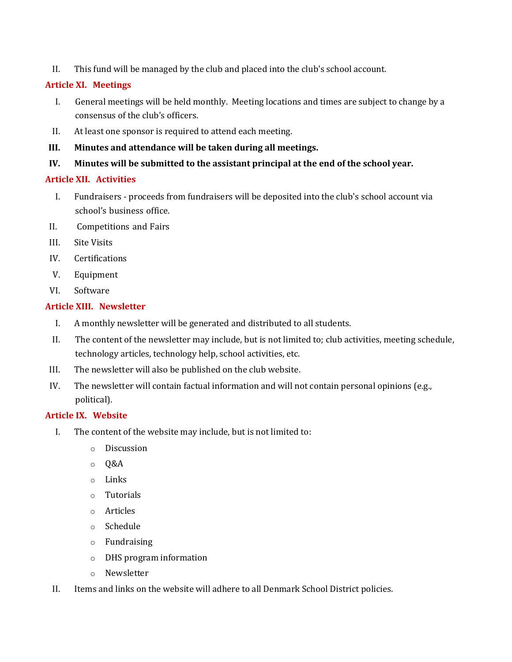II. This fund will be managed by the club and placed into the club's school account.

# **Article XI. Meetings**

- I. General meetings will be held monthly. Meeting locations and times are subject to change by a consensus of the club's officers.
- II. At least one sponsor is required to attend each meeting.
- **III. Minutes and attendance will be taken during all meetings.**
- **IV. Minutes will be submitted to the assistant principal at the end of the school year.**

# **Article XII. Activities**

- I. Fundraisers proceeds from fundraisers will be deposited into the club's school account via school's business office.
- II. Competitions and Fairs
- III. Site Visits
- IV. Certifications
- V. Equipment
- VI. Software

# **Article XIII. Newsletter**

- I. A monthly newsletter will be generated and distributed to all students.
- II. The content of the newsletter may include, but is not limited to; club activities, meeting schedule, technology articles, technology help, school activities, etc.
- III. The newsletter will also be published on the club website.
- IV. The newsletter will contain factual information and will not contain personal opinions (e.g., political).

## **Article IX. Website**

- I. The content of the website may include, but is not limited to:
	- o Discussion
	- o Q&A
	- o Links
	- o Tutorials
	- o Articles
	- o Schedule
	- o Fundraising
	- o DHS program information
	- o Newsletter
- II. Items and links on the website will adhere to all Denmark School District policies.